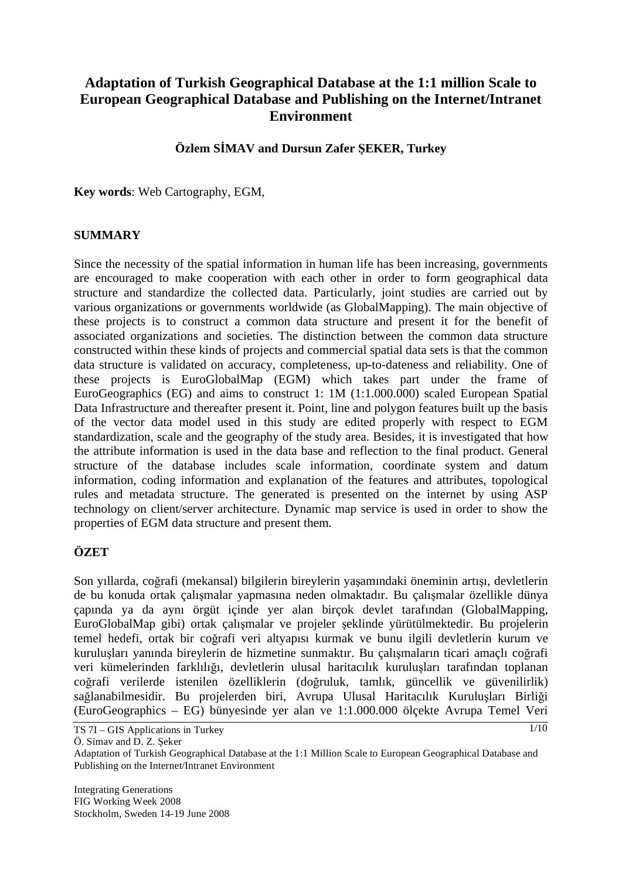# **Adaptation of Turkish Geographical Database at the 1:1 million Scale to European Geographical Database and Publishing on the Internet/Intranet Environment**

## **Özlem SMAV and Dursun Zafer EKER, Turkey**

**Key words**: Web Cartography, EGM,

#### **SUMMARY**

Since the necessity of the spatial information in human life has been increasing, governments are encouraged to make cooperation with each other in order to form geographical data structure and standardize the collected data. Particularly, joint studies are carried out by various organizations or governments worldwide (as GlobalMapping). The main objective of these projects is to construct a common data structure and present it for the benefit of associated organizations and societies. The distinction between the common data structure constructed within these kinds of projects and commercial spatial data sets is that the common data structure is validated on accuracy, completeness, up-to-dateness and reliability. One of these projects is EuroGlobalMap (EGM) which takes part under the frame of EuroGeographics (EG) and aims to construct 1: 1M (1:1.000.000) scaled European Spatial Data Infrastructure and thereafter present it. Point, line and polygon features built up the basis of the vector data model used in this study are edited properly with respect to EGM standardization, scale and the geography of the study area. Besides, it is investigated that how the attribute information is used in the data base and reflection to the final product. General structure of the database includes scale information, coordinate system and datum information, coding information and explanation of the features and attributes, topological rules and metadata structure. The generated is presented on the internet by using ASP technology on client/server architecture. Dynamic map service is used in order to show the properties of EGM data structure and present them.

## **ÖZET**

Son yıllarda, coğrafi (mekansal) bilgilerin bireylerin yaşamındaki öneminin artışı, devletlerin de bu konuda ortak çalışmalar yapmasına neden olmaktadır. Bu çalışmalar özellikle dünya çapında ya da aynı örgüt içinde yer alan birçok devlet tarafından (GlobalMapping, EuroGlobalMap gibi) ortak çalımalar ve projeler eklinde yürütülmektedir. Bu projelerin temel hedefi, ortak bir coğrafi veri altyapısı kurmak ve bunu ilgili devletlerin kurum ve kurulusları yanında bireylerin de hizmetine sunmaktır. Bu çalışmaların ticari amaçlı coğrafi veri kümelerinden farklılığı, devletlerin ulusal haritacılık kuruluşları tarafından toplanan coğrafi verilerde istenilen özelliklerin (doğruluk, tamlık, güncellik ve güvenilirlik) sağlanabilmesidir. Bu projelerden biri, Avrupa Ulusal Haritacılık Kuruluşları Birliği (EuroGeographics – EG) bünyesinde yer alan ve 1:1.000.000 ölçekte Avrupa Temel Veri

Ö. Simav and D. Z. Seker

Integrating Generations FIG Working Week 2008 Stockholm, Sweden 14-19 June 2008

TS 7I – GIS Applications in Turkey

Adaptation of Turkish Geographical Database at the 1:1 Million Scale to European Geographical Database and Publishing on the Internet/Intranet Environment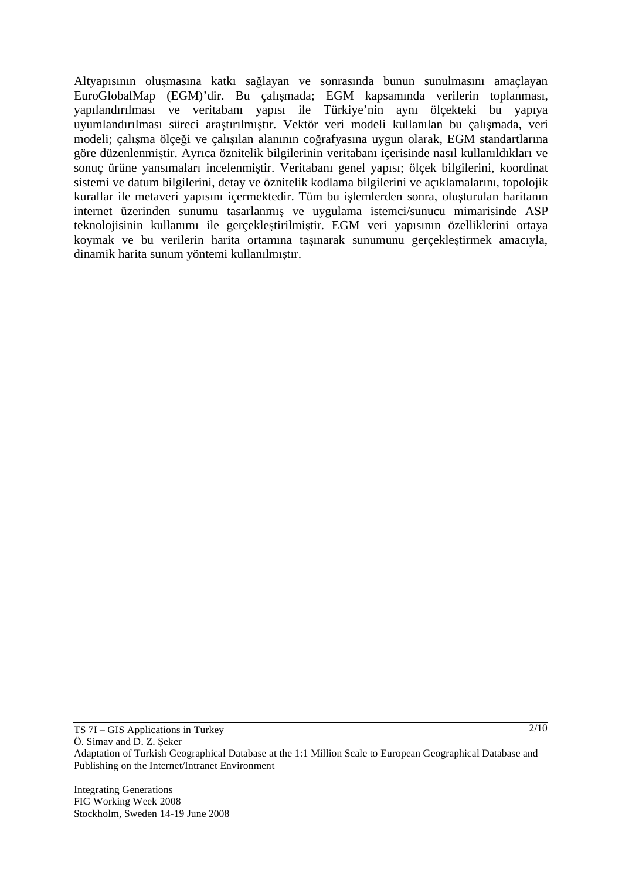Altyapısının oluşmasına katkı sağlayan ve sonrasında bunun sunulmasını amaçlayan EuroGlobalMap (EGM)'dir. Bu çalışmada; EGM kapsamında verilerin toplanması, yapılandırılması ve veritabanı yapısı ile Türkiye'nin aynı ölçekteki bu yapıya uyumlandırılması süreci arastırılmıştır. Vektör veri modeli kullanılan bu çalışmada, veri modeli; çalışma ölçeği ve çalışılan alanının coğrafyasına uygun olarak, EGM standartlarına göre düzenlenmiştir. Ayrıca öznitelik bilgilerinin veritabanı içerisinde nasıl kullanıldıkları ve sonuç ürüne yansımaları incelenmiştir. Veritabanı genel yapısı; ölçek bilgilerini, koordinat sistemi ve datum bilgilerini, detay ve öznitelik kodlama bilgilerini ve açıklamalarını, topolojik kurallar ile metaveri yapısını içermektedir. Tüm bu işlemlerden sonra, oluşturulan haritanın internet üzerinden sunumu tasarlanmış ve uygulama istemci/sunucu mimarisinde ASP teknolojisinin kullanımı ile gerçeklestirilmiştir. EGM veri yapısının özelliklerini ortaya koymak ve bu verilerin harita ortamına taşınarak sunumunu gerçekleştirmek amacıyla, dinamik harita sunum yöntemi kullanılmıştır.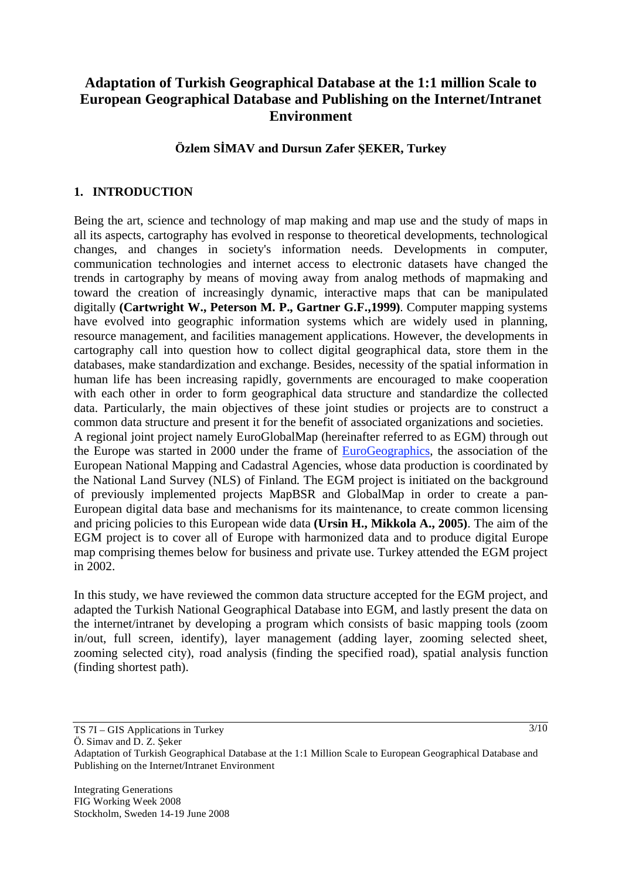# **Adaptation of Turkish Geographical Database at the 1:1 million Scale to European Geographical Database and Publishing on the Internet/Intranet Environment**

#### **Özlem SMAV and Dursun Zafer EKER, Turkey**

#### **1. INTRODUCTION**

Being the art, science and technology of map making and map use and the study of maps in all its aspects, cartography has evolved in response to theoretical developments, technological changes, and changes in society's information needs. Developments in computer, communication technologies and internet access to electronic datasets have changed the trends in cartography by means of moving away from analog methods of mapmaking and toward the creation of increasingly dynamic, interactive maps that can be manipulated digitally **(Cartwright W., Peterson M. P., Gartner G.F.,1999)**. Computer mapping systems have evolved into geographic information systems which are widely used in planning, resource management, and facilities management applications. However, the developments in cartography call into question how to collect digital geographical data, store them in the databases, make standardization and exchange. Besides, necessity of the spatial information in human life has been increasing rapidly, governments are encouraged to make cooperation with each other in order to form geographical data structure and standardize the collected data. Particularly, the main objectives of these joint studies or projects are to construct a common data structure and present it for the benefit of associated organizations and societies. A regional joint project namely EuroGlobalMap (hereinafter referred to as EGM) through out the Europe was started in 2000 under the frame of EuroGeographics, the association of the European National Mapping and Cadastral Agencies, whose data production is coordinated by the National Land Survey (NLS) of Finland. The EGM project is initiated on the background of previously implemented projects MapBSR and GlobalMap in order to create a pan-European digital data base and mechanisms for its maintenance, to create common licensing and pricing policies to this European wide data **(Ursin H., Mikkola A., 2005)**. The aim of the EGM project is to cover all of Europe with harmonized data and to produce digital Europe map comprising themes below for business and private use. Turkey attended the EGM project in 2002.

In this study, we have reviewed the common data structure accepted for the EGM project, and adapted the Turkish National Geographical Database into EGM, and lastly present the data on the internet/intranet by developing a program which consists of basic mapping tools (zoom in/out, full screen, identify), layer management (adding layer, zooming selected sheet, zooming selected city), road analysis (finding the specified road), spatial analysis function (finding shortest path).

Ö. Simav and D. Z. Seker

TS 7I – GIS Applications in Turkey

Adaptation of Turkish Geographical Database at the 1:1 Million Scale to European Geographical Database and Publishing on the Internet/Intranet Environment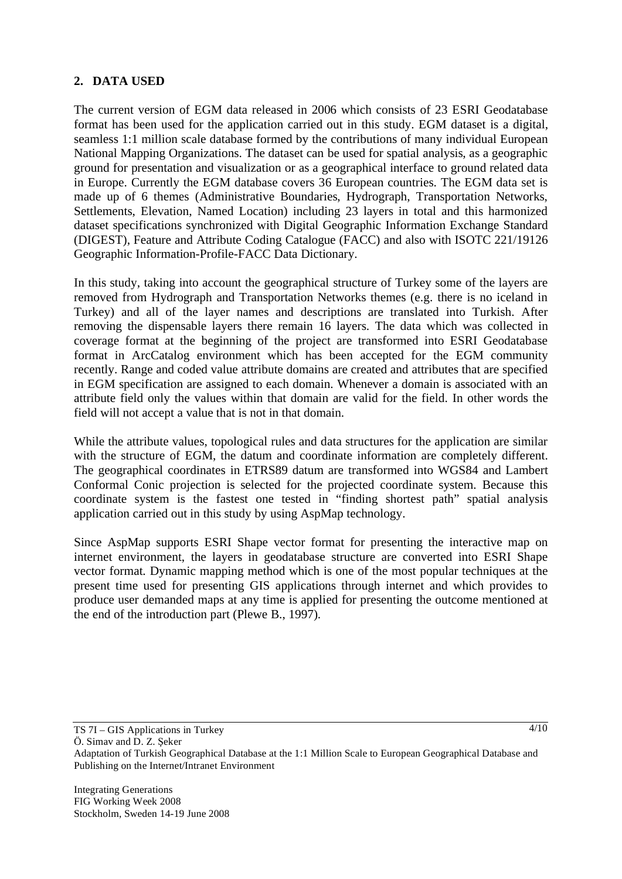## **2. DATA USED**

The current version of EGM data released in 2006 which consists of 23 ESRI Geodatabase format has been used for the application carried out in this study. EGM dataset is a digital, seamless 1:1 million scale database formed by the contributions of many individual European National Mapping Organizations. The dataset can be used for spatial analysis, as a geographic ground for presentation and visualization or as a geographical interface to ground related data in Europe. Currently the EGM database covers 36 European countries. The EGM data set is made up of 6 themes (Administrative Boundaries, Hydrograph, Transportation Networks, Settlements, Elevation, Named Location) including 23 layers in total and this harmonized dataset specifications synchronized with Digital Geographic Information Exchange Standard (DIGEST), Feature and Attribute Coding Catalogue (FACC) and also with ISOTC 221/19126 Geographic Information-Profile-FACC Data Dictionary.

In this study, taking into account the geographical structure of Turkey some of the layers are removed from Hydrograph and Transportation Networks themes (e.g. there is no iceland in Turkey) and all of the layer names and descriptions are translated into Turkish. After removing the dispensable layers there remain 16 layers. The data which was collected in coverage format at the beginning of the project are transformed into ESRI Geodatabase format in ArcCatalog environment which has been accepted for the EGM community recently. Range and coded value attribute domains are created and attributes that are specified in EGM specification are assigned to each domain. Whenever a domain is associated with an attribute field only the values within that domain are valid for the field. In other words the field will not accept a value that is not in that domain.

While the attribute values, topological rules and data structures for the application are similar with the structure of EGM, the datum and coordinate information are completely different. The geographical coordinates in ETRS89 datum are transformed into WGS84 and Lambert Conformal Conic projection is selected for the projected coordinate system. Because this coordinate system is the fastest one tested in "finding shortest path" spatial analysis application carried out in this study by using AspMap technology.

Since AspMap supports ESRI Shape vector format for presenting the interactive map on internet environment, the layers in geodatabase structure are converted into ESRI Shape vector format. Dynamic mapping method which is one of the most popular techniques at the present time used for presenting GIS applications through internet and which provides to produce user demanded maps at any time is applied for presenting the outcome mentioned at the end of the introduction part (Plewe B., 1997).

Ö. Simav and D. Z. Seker

TS 7I – GIS Applications in Turkey

Adaptation of Turkish Geographical Database at the 1:1 Million Scale to European Geographical Database and Publishing on the Internet/Intranet Environment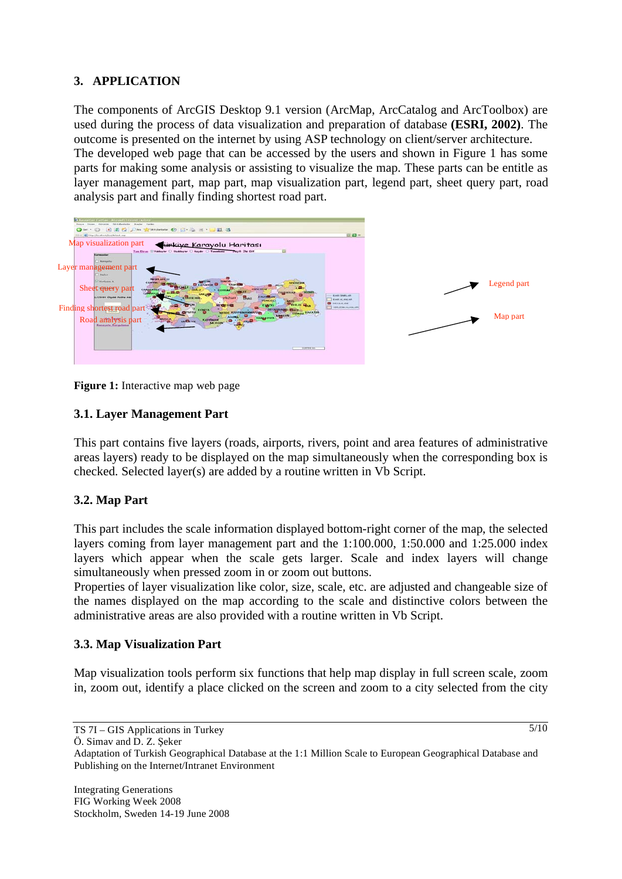## **3. APPLICATION**

The components of ArcGIS Desktop 9.1 version (ArcMap, ArcCatalog and ArcToolbox) are used during the process of data visualization and preparation of database **(ESRI, 2002)**. The outcome is presented on the internet by using ASP technology on client/server architecture. The developed web page that can be accessed by the users and shown in Figure 1 has some parts for making some analysis or assisting to visualize the map. These parts can be entitle as layer management part, map part, map visualization part, legend part, sheet query part, road analysis part and finally finding shortest road part.



**Figure 1:** Interactive map web page

## **3.1. Layer Management Part**

This part contains five layers (roads, airports, rivers, point and area features of administrative areas layers) ready to be displayed on the map simultaneously when the corresponding box is checked. Selected layer(s) are added by a routine written in Vb Script.

## **3.2. Map Part**

This part includes the scale information displayed bottom-right corner of the map, the selected layers coming from layer management part and the 1:100.000, 1:50.000 and 1:25.000 index layers which appear when the scale gets larger. Scale and index layers will change simultaneously when pressed zoom in or zoom out buttons.

Properties of layer visualization like color, size, scale, etc. are adjusted and changeable size of the names displayed on the map according to the scale and distinctive colors between the administrative areas are also provided with a routine written in Vb Script.

#### **3.3. Map Visualization Part**

Map visualization tools perform six functions that help map display in full screen scale, zoom in, zoom out, identify a place clicked on the screen and zoom to a city selected from the city

TS 7I – GIS Applications in Turkey Ö. Simav and D. Z. Seker

 $\frac{5}{10}$ 

Adaptation of Turkish Geographical Database at the 1:1 Million Scale to European Geographical Database and Publishing on the Internet/Intranet Environment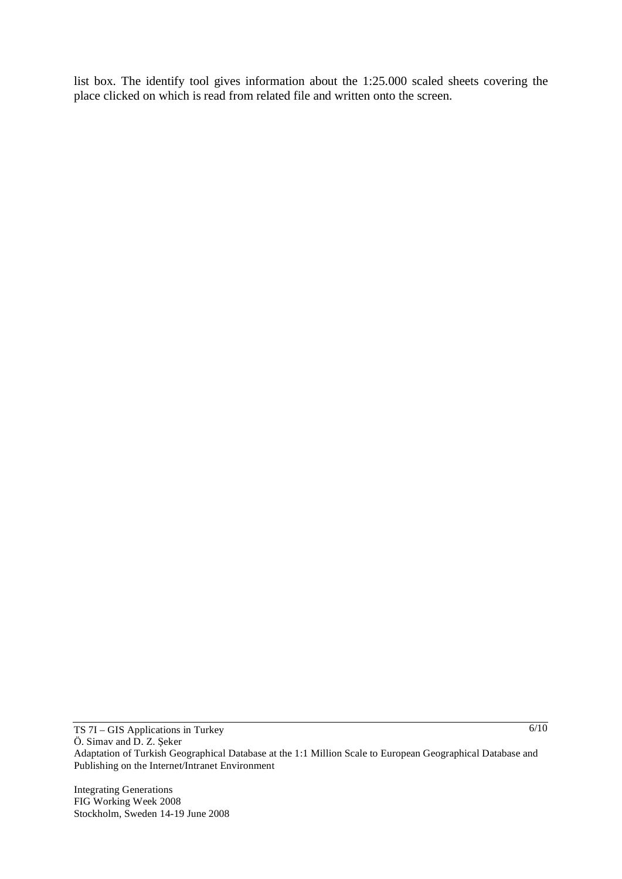list box. The identify tool gives information about the 1:25.000 scaled sheets covering the place clicked on which is read from related file and written onto the screen.

Integrating Generations FIG Working Week 2008 Stockholm, Sweden 14-19 June 2008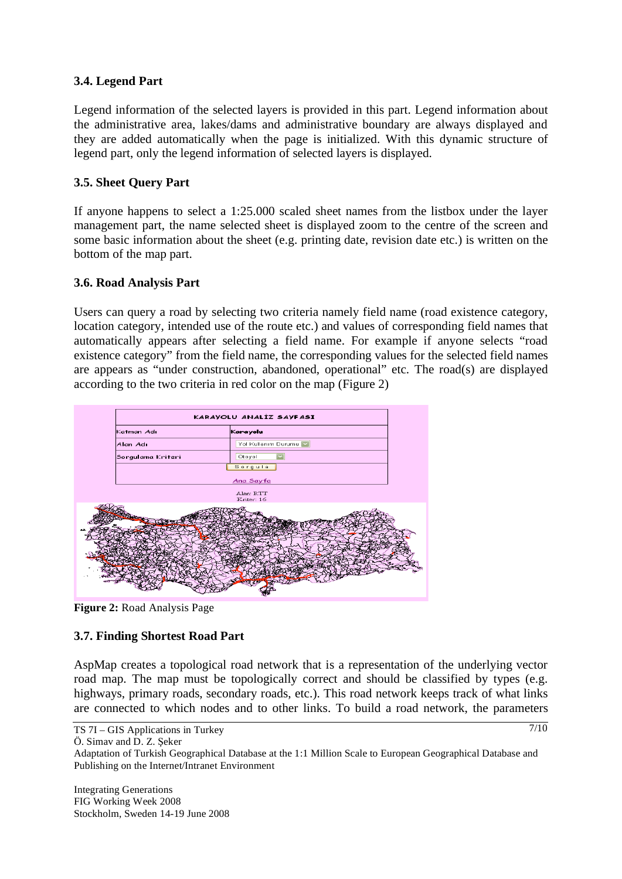## **3.4. Legend Part**

Legend information of the selected layers is provided in this part. Legend information about the administrative area, lakes/dams and administrative boundary are always displayed and they are added automatically when the page is initialized. With this dynamic structure of legend part, only the legend information of selected layers is displayed.

# **3.5. Sheet Query Part**

If anyone happens to select a 1:25.000 scaled sheet names from the listbox under the layer management part, the name selected sheet is displayed zoom to the centre of the screen and some basic information about the sheet (e.g. printing date, revision date etc.) is written on the bottom of the map part.

## **3.6. Road Analysis Part**

Users can query a road by selecting two criteria namely field name (road existence category, location category, intended use of the route etc.) and values of corresponding field names that automatically appears after selecting a field name. For example if anyone selects "road existence category" from the field name, the corresponding values for the selected field names are appears as "under construction, abandoned, operational" etc. The road(s) are displayed according to the two criteria in red color on the map (Figure 2)



**Figure 2:** Road Analysis Page

## **3.7. Finding Shortest Road Part**

AspMap creates a topological road network that is a representation of the underlying vector road map. The map must be topologically correct and should be classified by types (e.g. highways, primary roads, secondary roads, etc.). This road network keeps track of what links are connected to which nodes and to other links. To build a road network, the parameters

Ö. Simav and D. Z. Seker

Adaptation of Turkish Geographical Database at the 1:1 Million Scale to European Geographical Database and Publishing on the Internet/Intranet Environment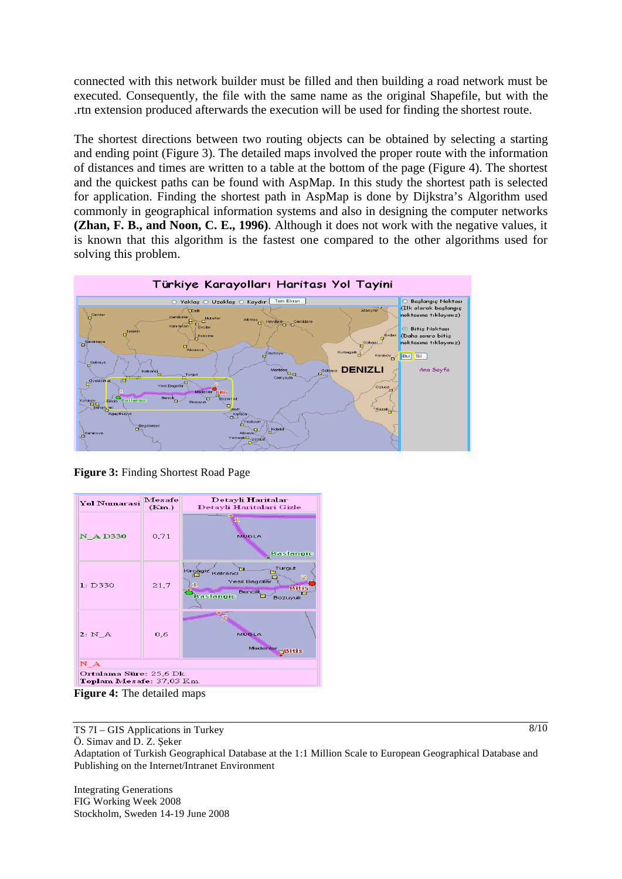connected with this network builder must be filled and then building a road network must be executed. Consequently, the file with the same name as the original Shapefile, but with the .rtn extension produced afterwards the execution will be used for finding the shortest route.

The shortest directions between two routing objects can be obtained by selecting a starting and ending point (Figure 3). The detailed maps involved the proper route with the information of distances and times are written to a table at the bottom of the page (Figure 4). The shortest and the quickest paths can be found with AspMap. In this study the shortest path is selected for application. Finding the shortest path in AspMap is done by Dijkstra's Algorithm used commonly in geographical information systems and also in designing the computer networks **(Zhan, F. B., and Noon, C. E., 1996)**. Although it does not work with the negative values, it is known that this algorithm is the fastest one compared to the other algorithms used for solving this problem.



**Figure 3:** Finding Shortest Road Page

| <b>Yol Numarasi</b>                                 | Mesafe<br>(Km.) | Detayli Haritalar<br>Detayli Haritalari Gizle                                                             |
|-----------------------------------------------------|-----------------|-----------------------------------------------------------------------------------------------------------|
| <b>N</b> AD330                                      | 0,71            | <b>MUGLA</b><br><b>Baslangic</b>                                                                          |
| 1: D330                                             | 21.7            | Turgut<br>Kircagiz<br>Katranci<br>Yesil Bagcilar<br><b>Bitis</b><br><b>Bencik</b><br>Baslangic<br>Bozuyuk |
| 2: M A                                              | 0.6             | MUGLA<br>Madenler<br><b>Bitis</b>                                                                         |
| N A                                                 |                 |                                                                                                           |
| Ortalama Süre: 25,6 Dk.<br>Toplam Mesafe: 37,03 Km. |                 |                                                                                                           |
| $\Gamma$ igung 4. The detailed mana                 |                 |                                                                                                           |

**Figure 4:** The detailed maps

TS 7I – GIS Applications in Turkey

 $8/10$ 

Ö. Simav and D. Z. Seker Adaptation of Turkish Geographical Database at the 1:1 Million Scale to European Geographical Database and Publishing on the Internet/Intranet Environment

Integrating Generations FIG Working Week 2008 Stockholm, Sweden 14-19 June 2008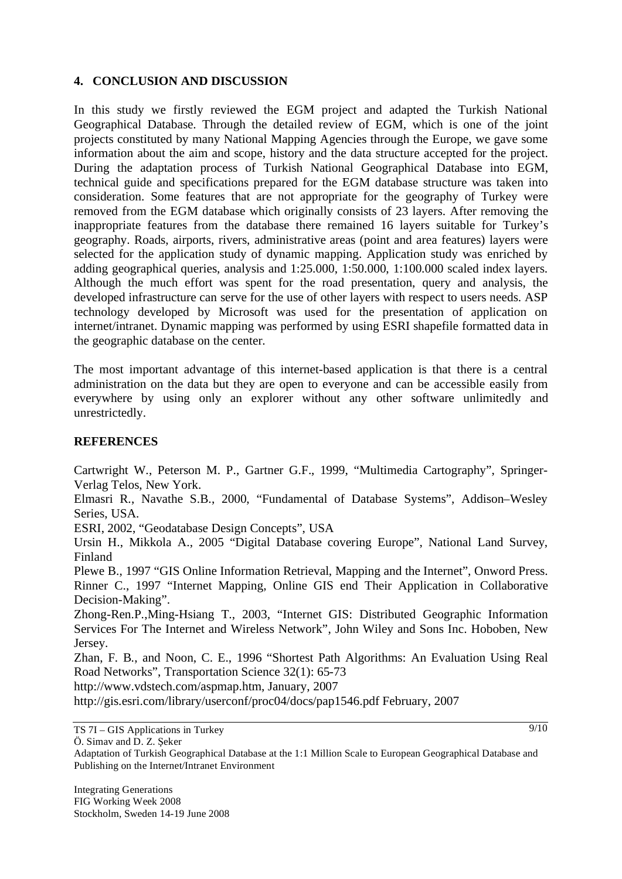#### **4. CONCLUSION AND DISCUSSION**

In this study we firstly reviewed the EGM project and adapted the Turkish National Geographical Database. Through the detailed review of EGM, which is one of the joint projects constituted by many National Mapping Agencies through the Europe, we gave some information about the aim and scope, history and the data structure accepted for the project. During the adaptation process of Turkish National Geographical Database into EGM, technical guide and specifications prepared for the EGM database structure was taken into consideration. Some features that are not appropriate for the geography of Turkey were removed from the EGM database which originally consists of 23 layers. After removing the inappropriate features from the database there remained 16 layers suitable for Turkey's geography. Roads, airports, rivers, administrative areas (point and area features) layers were selected for the application study of dynamic mapping. Application study was enriched by adding geographical queries, analysis and 1:25.000, 1:50.000, 1:100.000 scaled index layers. Although the much effort was spent for the road presentation, query and analysis, the developed infrastructure can serve for the use of other layers with respect to users needs. ASP technology developed by Microsoft was used for the presentation of application on internet/intranet. Dynamic mapping was performed by using ESRI shapefile formatted data in the geographic database on the center.

The most important advantage of this internet-based application is that there is a central administration on the data but they are open to everyone and can be accessible easily from everywhere by using only an explorer without any other software unlimitedly and unrestrictedly.

#### **REFERENCES**

Cartwright W., Peterson M. P., Gartner G.F., 1999, "Multimedia Cartography", Springer-Verlag Telos, New York.

Elmasri R., Navathe S.B., 2000, "Fundamental of Database Systems", Addison–Wesley Series, USA.

ESRI, 2002, "Geodatabase Design Concepts", USA

Ursin H., Mikkola A., 2005 "Digital Database covering Europe", National Land Survey, Finland

Plewe B., 1997 "GIS Online Information Retrieval, Mapping and the Internet", Onword Press. Rinner C., 1997 "Internet Mapping, Online GIS end Their Application in Collaborative Decision-Making".

Zhong-Ren.P.,Ming-Hsiang T., 2003, "Internet GIS: Distributed Geographic Information Services For The Internet and Wireless Network", John Wiley and Sons Inc. Hoboben, New Jersey.

Zhan, F. B., and Noon, C. E., 1996 "Shortest Path Algorithms: An Evaluation Using Real Road Networks", Transportation Science 32(1): 65-73

http://www.vdstech.com/aspmap.htm, January, 2007

http://gis.esri.com/library/userconf/proc04/docs/pap1546.pdf February, 2007

TS 7I – GIS Applications in Turkey

Ö. Simav and D. Z. Seker

Adaptation of Turkish Geographical Database at the 1:1 Million Scale to European Geographical Database and Publishing on the Internet/Intranet Environment